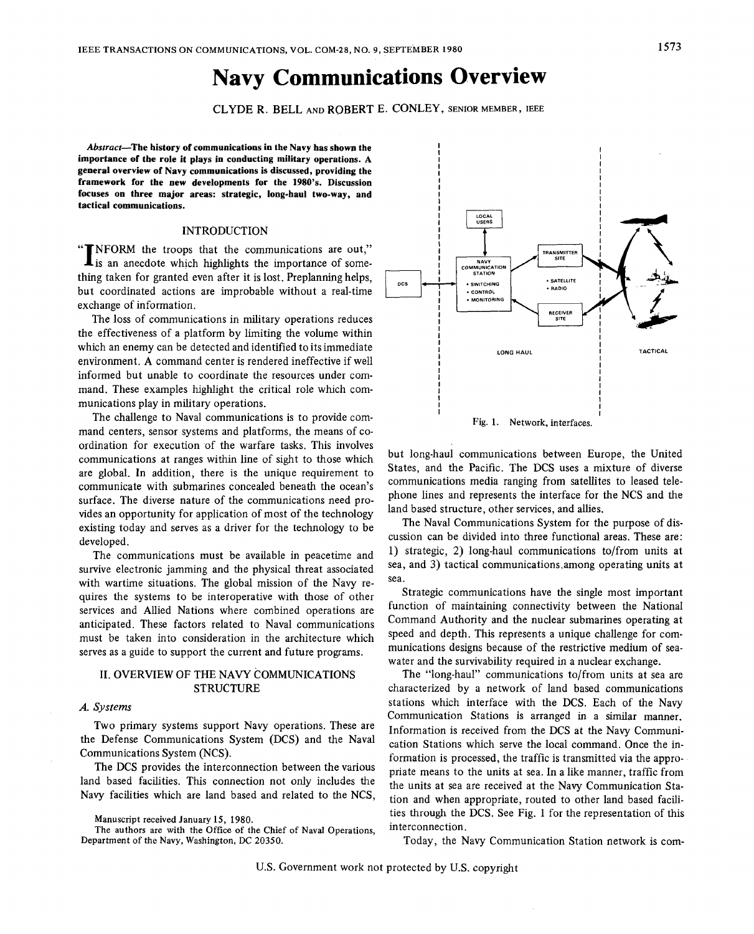# **Navy Communications Overview**

CLYDE R. BELL **AND** ROBERT E. CONLEY, **SENIOR MEMBER, IEEE** 

**Absrracr-The history of communications in the Navy has shown the importance of the role it plays in conducting military operations. A general overview of Navy communications is discussed, providing the framework for the new developments for the 1980's. Discussion focuses on three major areas: strategic, long-haul two-way, and tactical communications.** 

## INTRODUCTION

**TNFORM** the troops that the communications are out,' is an anecdote which highlights the importance of some NFORM the troops that the communications are out," thing taken for granted even after it is lost. Preplanning helps, but coordinated actions are improbable without a real-time exchange of information.

The loss of communications in military operations reduces the effectiveness of a platform by limiting the volume within which an enemy can be detected and identified to its immediate environment. A command center is rendered ineffective if well informed but unable to coordinate the resources under command. These examples highlight the critical role which communications play in military operations.

The challenge to Naval communications is to provide command centers, sensor systems and platforms, the means of coordination for execution of the warfare tasks. This involves communications at ranges within line of sight to those which are global. In addition, there is the unique requirement to communicate with submarines concealed beneath the ocean's surface. The diverse nature of the communications need provides an opportunity for application of most of the technology existing today and serves as a driver for the technology to be developed.

The communications must be available in peacetime and survive electronic jamming and the physical threat associated with wartime situations. The global mission of the Navy requires the systems to be interoperative with those of other services and Allied Nations where combined operations are anticipated. These factors related to Naval communications must be taken into consideration in the architecture which serves as a guide to support the current and future programs.

## 11. OVERVIEW OF THE NAVY COMMUNICATIONS **STRUCTURE**

#### *A. Systems*

Two primary systems support Navy operations. These are the Defense Communications System (DCS) and the Naval Communications System (NCS).

The DCS provides the interconnection between the various land based facilities. This connection not only includes the Navy facilities which are land based and related to the NCS,

Manuscript received January **15,** 1980.

The authors are with the Office of the Chief of Naval Operations, Department of the Navy, Washington, DC 20350.



but long-haul communications between Europe, the United States, and the Pacific. The DCS uses a mixture of diverse communications media ranging from satellites to leased telephone lines and represents the interface for the NCS and the land based structure, other services, and allies.

The Naval Communications System for the purpose of discussion can be divided into three functional areas. These are: 1) strategic, *2)* long-haul communications to/from units at sea, and **3)** tactical communications.among operating units at sea.

Strategic communications have the single most important function of maintaining connectivity between the National Command Authority and the nuclear submarines operating at speed and depth. This represents a unique challenge for communications designs because of the restrictive medium of seawater and the survivability required in a nuclear exchange.

The "long-haul" communications to/from units at sea are characterized by a network of land based communications stations which interface with the DCS. Each of the Navy Communication Stations is arranged in a similar manner. Information is received from the DCS at the Navy Communication Stations which serve the local command. Once the information is processed, the traffic is transmitted via the appropriate means to the units at sea. In a like manner, traffic from the units at sea are received at the Navy Communication Station and when appropriate, routed to other land based facilities through the DCS. See Fig. 1 for the representation of this interconnection.

Today, the Navy Communication Station network is com-

**U.S.** Government work not protected by U.S. copyright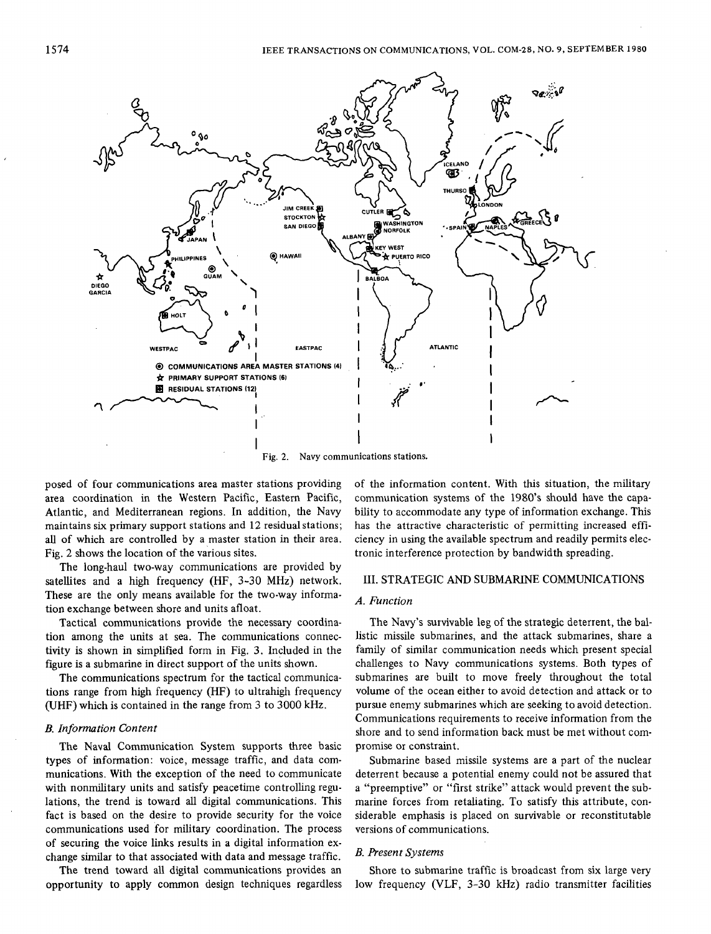

Fig. **2. Navy** communications stations.

posed of four communications area master stations providing area coordination in the Western Pacific, Eastern Pacific, Atlantic, and Mediterranean regions. In addition, the Navy maintains *six* primary support stations and 12 residual stations; all of which are controlled by a master station in their area. Fig. 2 shows the location of the various sites.

The long-haul two-way communications are provided by satellites and a high frequency (HF, *3-30* MHz) network. These are the only means available for the two-way information exchange between shore and units afloat.

Tactical communications provide the necessary coordination among the units at sea. The communications connectivity is shown in simplified form in [Fig.](#page-2-0) **3.** Included in the figure is a submarine in direct support of the units shown.

The communications spectrum for the tactical communications range from high frequency (HF) to ultrahigh frequency **(UHF)** which is contained in the range from **3** to 3000 kHz.

## *B. Information Content*

The Naval Communication System supports three basic types of information: voice, message traffic, and data communications. With the exception of the need to communicate with nonmilitary units and satisfy peacetime controlling regulations, the trend is toward all digital communications. This fact is based on the desire to provide security for the voice communications used for military coordination. The process of securing the voice links results in a digital information exchange similar to that associated with data and message traffic.

The trend toward all digital communications provides an opportunity to apply common design techniques regardless of the information content. With this situation, the military communication systems of the 1980's should have the capability to accommodate any type of information exchange. This has the attractive characteristic of permitting increased efficiency in using the available spectrum and readily permits electronic interference protection by bandwidth spreading.

#### **111.** STRATEGIC **AND** SUBMARINE COMMUNICATIONS

#### *A. Function*

The Navy's survivable leg of the strategic deterrent, the ballistic missile submarines, and the attack submarines, share a family of similar communication needs which present special challenges to Navy communications systems. Both types of submarines are built to move freely throughout the total volume of the ocean either to avoid detection and attack or to pursue enemy submarines which are seeking to avoid detection. Communications requirements to receive information from the shore and to send information back must be met without compromise or constraint.

Submarine based missile systems are a part of the nuclear deterrent because a potential enemy could not be assured that a "preemptive" or "first strike" attack would prevent the submarine forces from retaliating. To satisfy this attribute, considerable emphasis is placed on survivable or reconstitutable versions of communications.

#### *B. Present Systems*

Shore to submarine traffic is broadcast from six large very low frequency (VLF, **3-30** kHz) radio transmitter facilities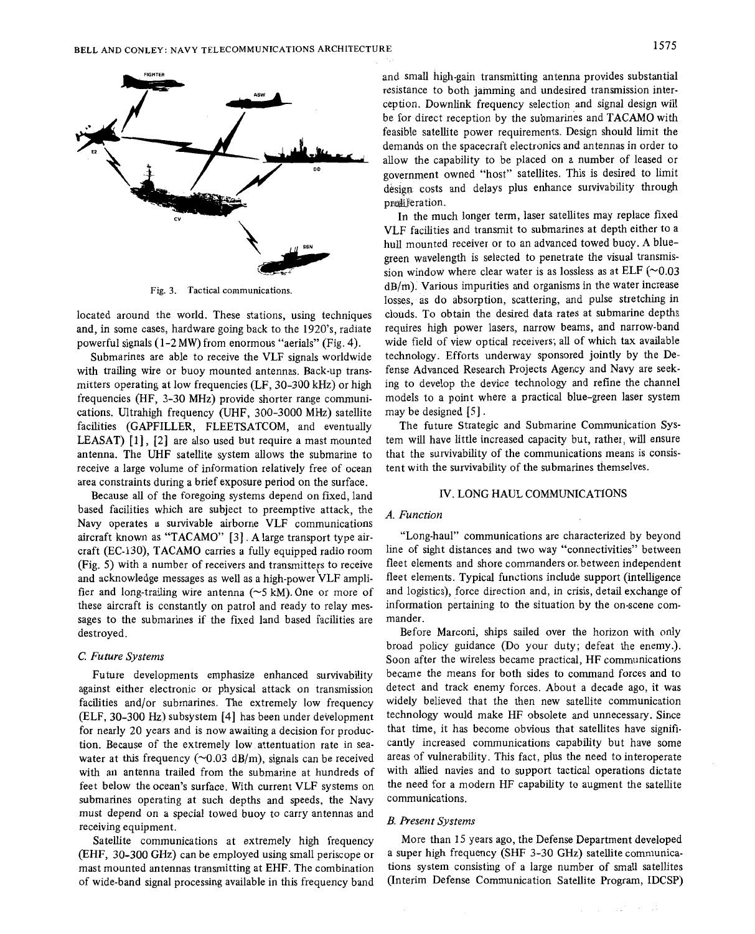<span id="page-2-0"></span>

**Fig. 3. Tactical communications.** 

located around the world. These stations, using techniques and, in some cases, hardware going back to the 1920's, radiate powerful signals (1-2 MW) from enormous "aerials" (Fig. **4).** 

Submarines are able to receive the VLF signals worldwide with trailing wire or buoy mounted antennas. Back-up transmitters operating at low frequencies (LF, 30-300 kHz) or high frequencies (HF, **3-30** MHz) provide shorter range communications. Ultrahigh frequency (UHF, 300-3000 MHz) satellite facilities (GAPFILLER, FLEETSATCOM, and eventually LEASAT) **[l]** , *[2]* are also used but require a mast mounted antenna. The UHF satellite system allows the submarine to receive a large volume of information relatively free of ocean area constraints during a brief exposure period on the surface.

Because all of the foregoing systems depend on fixed, land based facilities which are subject to preemptive attack, the Navy operates a survivable airborne VLF communications aircraft known as "TACAMO" [3] . A large transport type aircraft (EC-130), TACAMO carries a fully equipped radio room (Fig. 5) with a number of receivers and transmitters to receive and acknowledge messages as well as a high-power VLF amplifier and long-trailing wire antenna (~5 kM). One or more of these aircraft is constantly on patrol and ready to relay messages to the submarines if the fixed land based facilities are destroyed.

#### *C. Future Systems*

Future developments emphasize enhanced survivability against either electronic or physical attack on transmission facilities and/or submarines. The extremely low frequency (ELF, 30-300 *Hz)* subsystem [4] has been under development for nearly 20 years and is now awaiting a decision for production. Because of the extremely low attentuation rate in seawater at this frequency ( $\sim$ 0.03 dB/m), signals can be received with an antenna trailed from the submarine at hundreds of feet below the ocean's surface. With current VLF systems on submarines operating at such depths and speeds, the Navy must depend on a special towed buoy to carry antennas and receiving equipment.

Satellite communications at extremely high frequency (EHF, 30-300 GHz) can be employed using small periscope or mast mounted antennas transmitting at EHF. The combination of wide-band signal processing available in this frequency band

and small high-gain transmitting antenna provides substantial resistance to both jamming and undesired transmission interception. Downlink frequency selection and signal design will be for direct reception by the submarines and TACAMO with feasible satellite power requirements. Design should limit the demands on the spacecraft electronics and antennas in order to allow the capability to be placed on a number of leased or government owned "host" satellites. This is desired to limit design costs and delays plus enhance survivability through proliferation.

In the much longer term, laser satellites may replace fixed VLF facilities and transmit to submarines at depth either to a hull mounted receiver or to an advanced towed buoy. A bluegreen wavelength is selected to penetrate the visual transmission window where clear water is as lossless as at ELF  $(\sim 0.03$ dB/m). Various impurities and organisms in the water increase losses, as do absorption, scattering, and pulse stretching in clouds. To obtain the desired data rates at submarine depths requires high power lasers, narrow beams, and narrow-band wide field of view optical receivers; all of which tax available technology. Efforts underway sponsored jointly by the Defense Advanced Research Projects Agency and Navy are seeking to develop the device technology and refine the channel models to a point where a practical blue-green laser system may be designed **[SI.** 

The future Strategic and Submarine Communication System will have little increased capacity but, rather, will ensure that the survivability of the communications means is consistent with the survivability of the submarines themselves.

## IV. LONG HAUL COMMUNICATIONS

## *A, Function*

"Long-haul'' communications are characterized by beyond line of sight distances and two way "connectivities" between fleet elements and shore commanders or. between independent fleet elements. Typical functions include support (intelligence and logistics), force direction and, in crisis, detail exchange of information pertaining to the situation by the on-scene commander.

Before Marconi, ships sailed over the horizon with only broad policy guidance (Do your duty; defeat the enemy.). Soon after the wireless became practical, HF communications became the means for both sides to command forces and to detect and track enemy forces. About a decade ago, it was widely believed that the then new satellite communication technology would make HF obsolete and unnecessary. Since that time, it has become obvious that satellites have significantly increased communications capability but have some areas of vulnerability. This fact, plus the need to interoperate with allied navies and to support tactical operations dictate the need for a modern HF capability to augment the satellite communications.

### *B. Present Systems*

More than 15 years ago, the Defense Department developed a super high frequency (SHF 3-30 GHz) satellite communications system consisting of a large number of small satellites (Interim Defense Communication Satellite Program, IDCSP)

 $\langle \varphi_{\mu}^{(1)} \rangle$  and  $\varphi_{\mu}^{(2)}$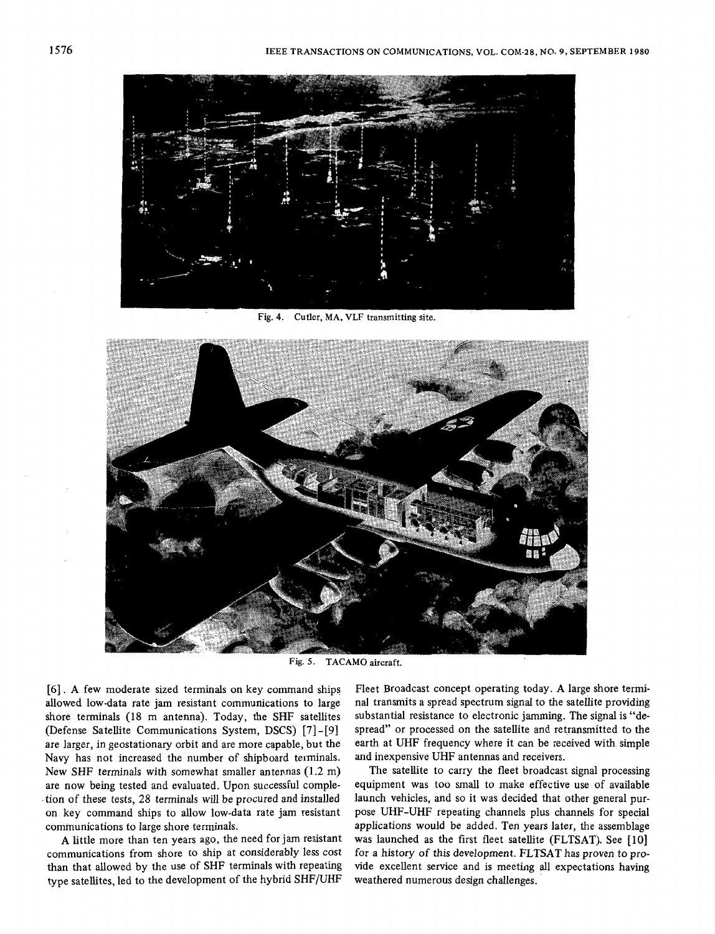

**Fig. 4. Cutler, MA, VLF transmitting** site.



**Fig. 5. TACAMO aircraft.** 

*[6].* **A** few moderate sized terminals on key command ships allowed low-data rate jam resistant communications to large shore terminals **(18** m antenna). Today, the SHF satellites (Defense Satellite Communications System, **DSCS)** *[7]* **-[9]**  are larger, in geostationary orbit and are more capable, but the Navy has not increased the number of shipboard terminals. New SHF terminals with somewhat smaller antennas (1.2 m) are now being tested and evaluated. Upon successful completion of these tests, 28 terminals will be procured and installed on key command ships to allow low-data rate jam resistant communications to large shore terminals.

**A** little more than ten years ago, the need for jam resistant communications from shore to ship at considerably less cost than that allowed by the use of SHF terminals with repeating type satellites, led to the development of the hybrid **SHF/UHF** 

Fleet Broadcast concept operating today. **A** large shore terminal transmits a spread spectrum signal to the satellite providing substantial resistance to electronic jamming. The signal is "despread" or processed on the satellite and retransmitted to the earth at UHF frequency where it can be received with simple and inexpensive UHF antennas and receivers.

The satellite to carry the fleet broadcast signal processing equipment was too small to make effective use of available launch vehicles, and so it was decided that other general purpose UHF-UHF repeating channels plus channels for special applications would be added. Ten years later, the assemblage was launched as the first fleet satellite (FLTSAT). See **[lo]**  for a history of this development. FLTSAT has proven to provide excellent service and is meetiag all expectations having weathered numerous design challenges.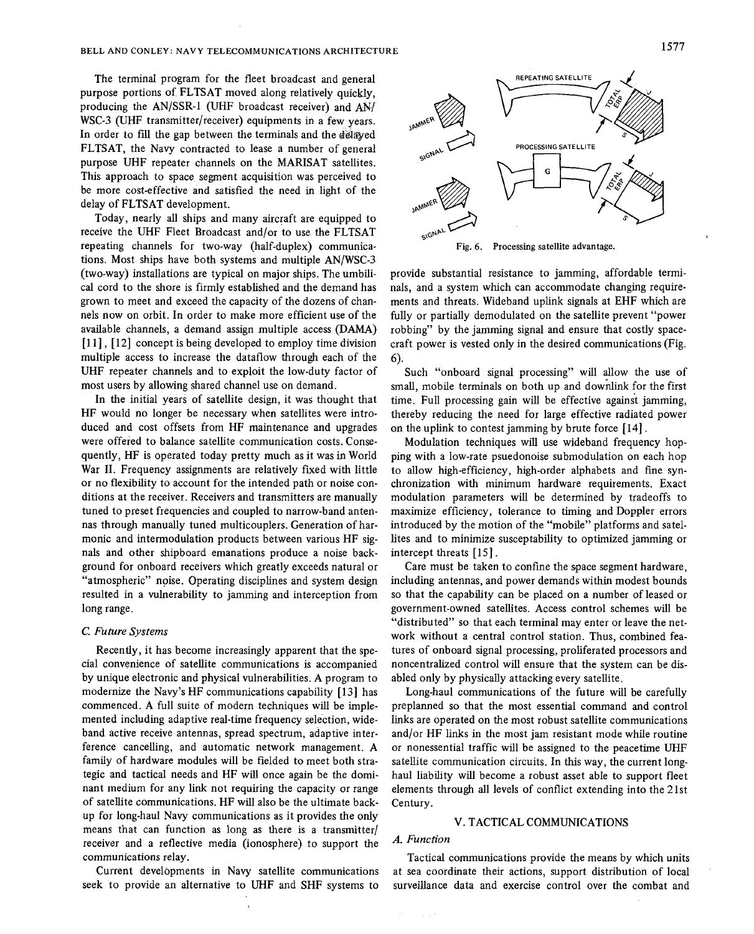The terminal program for the fleet broadcast and general purpose portions of, FLTSAT moved along relatively quickly, producing the AN/SSR-1 (UHF broadcast receiver) and AN/ WSC-3 (UHF transmitter/receiver) equipments in a few years. In order to fill the gap between the terminals and the delayed FLTSAT, the Navy contracted to lease a number of general purpose UHF repeater channels on the MARISAT satellites. This approach to space segment acquisition was perceived to be more cost-effective and satisfied the need in light of the delay of FLTSAT development.

Today, nearly all ships and many aircraft are equipped to receive the UHF Fleet Broadcast and/or to use the FLTSAT repeating channels for two-way (half-duplex) communications. Most ships have both systems and multiple AN/WSC-3 (two-way) installations are typical on major ships. The umbilical cord to the shore is firmly established and the demand has grown to meet and exceed the capacity of the dozens of channels now on orbit. In order to make more efficient use of the available channels, a demand assign multiple access (DAMA) [11], [12] concept is being developed to employ time division multiple access to increase the dataflow through each of the UHF repeater channels and to exploit the low-duty factor of most users by allowing shared channel use on demand.

In the initial years of satellite design, it was thought that HF would no longer be necessary when satellites were introduced and cost offsets from HF maintenance and upgrades were offered to balance satellite communication costs. Consequently, HF is operated today pretty much as it was in World War II. Frequency assignments are relatively fixed with little or no flexibility to account for the intended path or noise conditions at the receiver. Receivers and transmitters are manually tuned to preset frequencies and coupled to narrow-band antennas through manually tuned multicouplers. Generation of harmonic and intermodulation products between various HF signals and other shipboard emanations produce a noise background for onboard receivers which greatly exceeds natural or "atmospheric" noise. Operating disciplines and system design resulted in a vulnerability to jamming and interception from long range.

### *C Future Systems*

Recently, it has become increasingly apparent that the special convenience of satellite communications is accompanied by unique electronic and physical vulnerabilities. A program to modernize the Navy's HF communications capability [ 131 has commenced. A full suite of modern techniques will be implemented including adaptive real-time frequency selection, wideband active receive antennas, spread spectrum, adaptive interference cancelling, and automatic network management. **A**  family of hardware modules will be fielded to meet both strategic and tactical needs and HF will once again be the dominant medium for any link not requiring the capacity or range of satellite communications. HF will also be the ultimate backup for long-haul Navy communications as it provides the only means that can function as long as there is a transmitter/ receiver and a reflective media (ionosphere) to support the communications relay.

Current developments in Navy satellite communications seek to provide an alternative to UHF and SHF systems to



**Fig. 6. Processing satellite advantage.** 

provide substantial resistance to jamming, affordable terminals, and a system which can accommodate changing requirements and threats. Wideband uplink signals at EHF which are fully or partially demodulated on the satellite prevent "power robbing" by the jamming signal and ensure that costly spacecraft power is vested only in the desired communications (Fig. *6).* 

Such "onboard signal processing" will allow the use of small, mobile terminals on both up and dowhink for the first time. Full processing gain will be effective against jamming, thereby reducing the need for large effective radiated power on the uplink to contest jamming by brute force [I41 .

Modulation techniques will use wideband frequency hopping with a low-rate psuedonoise submodulation on each hop to allow high-efficiency, high-order alphabets and fine synchronization with minimum hardware requirements. Exact modulation parameters will be determined by tradeoffs to maximize efficiency, tolerance to timing and Doppler errors introduced by the motion of the "mobile" platforms and satellites and to minimize susceptability to optimized jamming or intercept threats [15].

Care must be taken to confine the space segment hardware, including antennas, and power demands within modest bounds so that the capability can be placed on a number of leased or government-owned satellites. Access control schemes will be "distributed" so that each terminal may enter or leave the network without a central control station. Thus, combined features of onboard signal processing, proliferated processors and noncentralized control will ensure that the system can be disabled only by physically attacking every satellite.

Long-haul communications of the future will be carefully preplanned so that the most essential command and control links are operated on the most robust satellite communications and/or HF links in the most jam resistant mode while routine or nonessential traffic will be assigned to the peacetime UHF satellite communication circuits. In this way, the current longhaul liability will become a robust asset able to support fleet elements through all levels of conflict extending into the 21st Century.

#### **V.** TACTICAL COMMUNICATIONS

## *A. Function*

Tactical communications provide the means by which units at sea coordinate their actions, support distribution of local surveillance data and exercise control over the combat and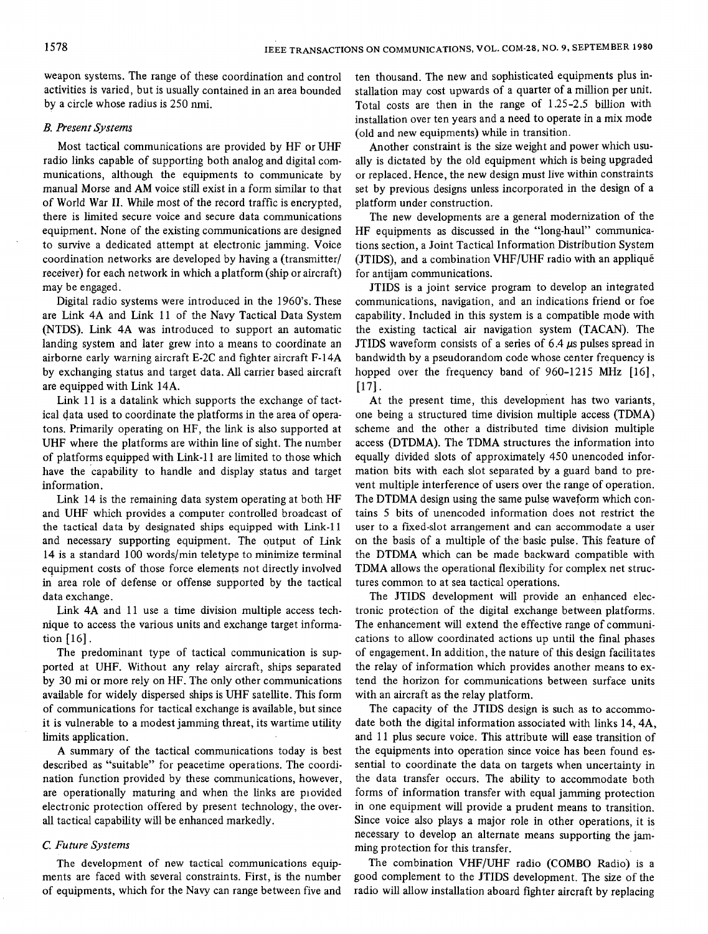weapon systems. The range of these coordination and control activities is varied, but is usually contained in an area bounded by a circle whose radius is 250 nmi.

### *B. Present Systems*

Most tactical communications are provided by HF or UHF radio links capable of supporting both analog and digital communications, although the equipments to communicate by manual Morse and AM voice still exist in a form similar to that of World War 11. While most of the record traffic is encrypted, there is limited secure voice and secure data communications equipment. None of the existing communications are designed to survive a dedicated attempt at electronic jamming. Voice coordination networks are developed by having a (transmitter/ receiver) for each network in which a platform (ship or aircraft) may be engaged.

Digital radio systems were introduced in the 1960's. These are Link 4A and Link 11 of the Navy Tactical Data System (NTDS). Link 4A was introduced to support an automatic landing system and later grew into a means to coordinate an airborne early warning aircraft E-2C and fighter aircraft F-14A by exchanging status and target data. *All* carrier based aircraft are equipped with Link 14A.

Link 11 is a datalink which supports the exchange of tactical data used to coordinate the platforms in the area of operatons. Primarily operating on HF, the link is also supported at UHF where the platforms are within line of sight. The number of platforms equipped with Link-1 1 are limited to those which have the 'capability to handle and display status and target information.

Link 14 is the remaining data system operating at both HF and UHF which provides a computer controlled broadcast of the tactical data by designated ships equipped with **Link-1** 1 and necessary supporting equipment. The output of Link 14 is a standard 100 words/min teletype to minimize terminal equipment costs of those force elements not directly involved in' area role of defense or offense supported by the tactical data exchange.

Link 4A and 11 use a time division multiple access technique to access the various units and exchange target information  $[16]$ .

The predominant type of tactical communication is supported at UHF. Without any relay aircraft, ships separated by **30** mi or more rely on HF. The only other communications available for widely dispersed ships is UHF satellite. This form of communications for tactical exchange is available, but since it is vulnerable to a modest jamming threat, its wartime utility limits application.

A summary of the tactical communications today is best described as "suitable" for peacetime operations. The coordination function provided by these communications, however, are operationally maturing and when the links are provided electronic protection offered by present technology, the overall tactical capability will be enhanced markedly.

#### *C Future Systems*

The development of new tactical communications equipments are faced with several constraints. First, is the number of equipments, which for the Navy can range between five and ten thousand. The new and sophisticated equipments plus installation may cost upwards of a quarter of a million per unit. Total costs are then in the range of 1.25-2.5 billion with installation over ten years and a need to operate in a mix mode (old and new equipments) while in transition.

Another constraint is the size weight and power which usually is dictated by the old equipment which is being upgraded or replaced. Hence, the new design must live within constraints set by previous designs unless incorporated in the design of a platform under construction.

The new developments are a general modernization of the HF equipments as discussed in the "long-haul" communications section, a Joint Tactical Information Distribution System (JTIDS), and a combination VHF/UHF radio with an appliqu6 for antijam communications.

JTIDS is a joint service program to develop an integrated communications, navigation, and an indications friend or foe capability. Included in this system is a compatible mode with the existing tactical air navigation system (TACAN). The JTIDS waveform consists of a series of 6.4 *ps* pulses spread in bandwidth by a pseudorandom code whose center frequency is hopped over the frequency band of  $960-1215$  MHz  $[16]$ ,  $[17]$ .

At the present time, this development has two variants, one being a structured time division multiple access (TDMA) scheme and the other a distributed time division multiple access (DTDMA). The TDMA structures the information into equally divided slots of approximately 450 unencoded information bits with each slot separated by a guard band to prevent multiple interference of users over the range of operation. The DTDMA design using the same pulse waveform which contains 5 bits of unencoded information does not restrict the user to a fixed-slot arrangement and can accommodate a user on the basis of a multiple of the basic pulse. This feature of the DTDMA which can be made backward compatible with TDMA allows the operational flexibility for complex net structures common to at sea tactical operations.

The JTIDS development will provide **an** enhanced electronic protection of the digital exchange between platforms. The enhancement will extend the effective range of communications to allow coordinated actions up until the final phases of engagement. In addition, the nature of this design facilitates the relay of information which provides another means to extend the horizon for communications between surface units with an aircraft as the relay platform.

The capacity of the JTIDS design is such as to accommodate both the digital information associated with links 14,4A, and 11 plus secure voice. This attribute will ease transition of the equipments into operation since voice has been found essential to coordinate the data on targets when uncertainty in the data transfer occurs. The ability to accommodate both forms of information transfer with equal jamming protection in one equipment will provide a prudent means to transition. Since voice also plays a major role in other operations, it is necessary to develop an alternate means supporting the jamming protection for this transfer.

The combination VHF/UHF radio **(COMBO** Radio) is a good complement to the JTIDS development. The size of the radio will allow installation aboard fighter aircraft by replacing